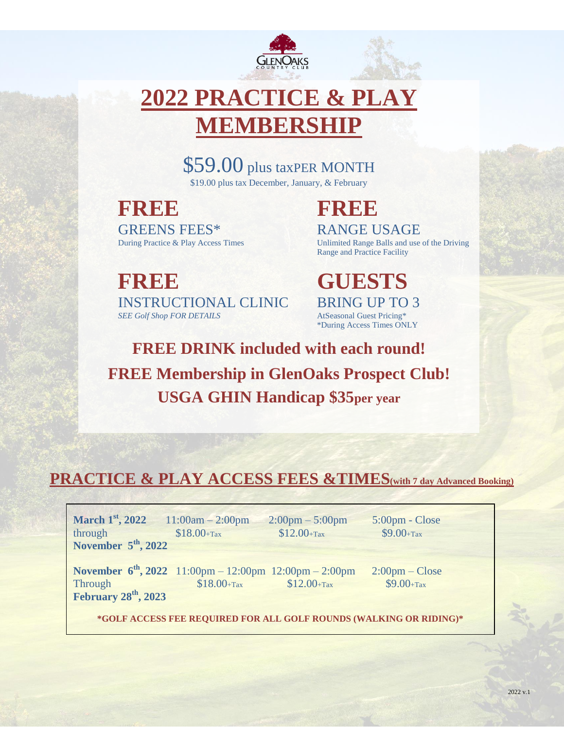

# **2022 PRACTICE & PLAY IEMBERSHIP**

\$59.00 plus taxPER MONTH \$19.00 plus tax December, January, & February

**FREE FREE FREE FREE** GREENS FEES\* RANGE USAGE

During Practice & Play Access Times Unlimited Range Balls and use of the Driving Range and Practice Facility

**FREE GUESTS** INSTRUCTIONAL CLINIC BRING UP TO 3<br>
SEE Golf Shop FOR DETAILS AtSeasonal Guest Pricing\* **SEE Golf Shop FOR DETAILS** 

\*During Access Times ONLY

**FREE DRINK included with each round! FREE Membership in GlenOaks Prospect Club! USGA GHIN Handicap \$35per year**

## **PRACTICE & PLAY ACCESS FEES &TIMES(with 7 day Advanced Booking)**

| <b>March 1<sup>st</sup></b> , 2022 11:00am - 2:00pm<br>through<br>November $5th$ , 2022 | $$18.00 + Tax$                                                                | $2:00 \text{pm} - 5:00 \text{pm}$<br>$$12.00 + Tax$ | 5:00pm - Close<br>$$9.00 + Tax$                  |  |
|-----------------------------------------------------------------------------------------|-------------------------------------------------------------------------------|-----------------------------------------------------|--------------------------------------------------|--|
| Through<br>February 28 <sup>th</sup> , 2023                                             | November $6^{th}$ , 2022 11:00pm - 12:00pm 12:00pm - 2:00pm<br>$$18.00 + Tax$ | $$12.00 + Tax$                                      | $2:00 \text{pm} - \text{Close}$<br>$$9.00 + Tax$ |  |
| *GOLF ACCESS FEE REQUIRED FOR ALL GOLF ROUNDS (WALKING OR RIDING)*                      |                                                                               |                                                     |                                                  |  |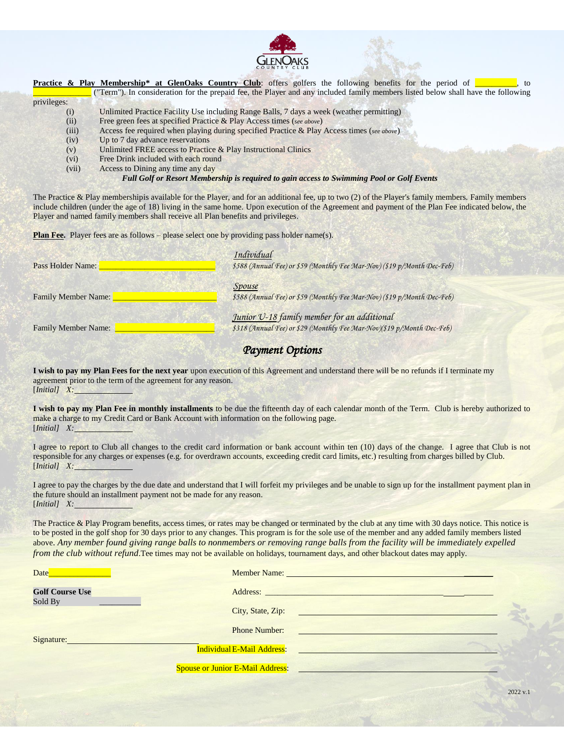

|             | <b>Practice &amp; Play Membership* at GlenOaks Country Club:</b> offers golfers the following benefits for the period of<br>to   |
|-------------|----------------------------------------------------------------------------------------------------------------------------------|
|             | ("Term"). In consideration for the prepaid fee, the Player and any included family members listed below shall have the following |
| privileges: |                                                                                                                                  |
| (i)         | Unlimited Practice Facility Use including Range Balls, 7 days a week (weather permitting)                                        |
| (ii)        | Free green fees at specified Practice & Play Access times (see above)                                                            |
| (iii)       | Access fee required when playing during specified Practice & Play Access times (see above)                                       |
| (iv)        | Up to 7 day advance reservations                                                                                                 |
| (v)         | Unlimited FREE access to Practice & Play Instructional Clinics                                                                   |
| (vi)        | Free Drink included with each round                                                                                              |
| (vii)       | Access to Dining any time any day                                                                                                |
|             |                                                                                                                                  |

*Full Golf or Resort Membership is required to gain access to Swimming Pool or Golf Events*

The Practice & Play membershipis available for the Player, and for an additional fee, up to two (2) of the Player's family members. Family members include children (under the age of 18) living in the same home. Upon execution of the Agreement and payment of the Plan Fee indicated below, the Player and named family members shall receive all Plan benefits and privileges.

**Plan Fee.** Player fees are as follows – please select one by providing pass holder name(s).

| Pass Holder Name:          | Individual<br>\$588 (Annual Fee) or \$59 (Monthly Fee Mar-Nov) (\$19 p/Month Dec-Feb)                                 |  |
|----------------------------|-----------------------------------------------------------------------------------------------------------------------|--|
| <b>Family Member Name:</b> | Spouse<br>\$588 (Annual Fee) or \$59 (Monthly Fee Mar-Nov) (\$19 p/Month Dec-Feb)                                     |  |
| <b>Family Member Name:</b> | Junior U-18 family member for an additional<br>\$318 (Annual Fee) or \$29 (Monthly Fee Mar-Nov)(\$19 p/Month Dec-Feb) |  |

### *Payment Options*

**I wish to pay my Plan Fees for the next year** upon execution of this Agreement and understand there will be no refunds if I terminate my agreement prior to the term of the agreement for any reason. [*Initial] X:*

**I wish to pay my Plan Fee in monthly installments** to be due the fifteenth day of each calendar month of the Term. Club is hereby authorized to make a charge to my Credit Card or Bank Account with information on the following page. [*Initial] X:*

I agree to report to Club all changes to the credit card information or bank account within ten (10) days of the change. I agree that Club is not responsible for any charges or expenses (e.g. for overdrawn accounts, exceeding credit card limits, etc.) resulting from charges billed by Club. [*Initial] X:*

I agree to pay the charges by the due date and understand that I will forfeit my privileges and be unable to sign up for the installment payment plan in the future should an installment payment not be made for any reason. [*Initial] X:*

The Practice & Play Program benefits, access times, or rates may be changed or terminated by the club at any time with 30 days notice. This notice is to be posted in the golf shop for 30 days prior to any changes. This program is for the sole use of the member and any added family members listed above. *Any member found giving range balls to nonmembers or removing range balls from the facility will be immediately expelled from the club without refund*. Tee times may not be available on holidays, tournament days, and other blackout dates may apply.

| Date                              | Member Name: Name:                |                                                |
|-----------------------------------|-----------------------------------|------------------------------------------------|
| <b>Golf Course Use</b><br>Sold By | Address:                          |                                                |
|                                   | City, State, Zip:                 | <u> 1983 - La Branchett, amerikan persoa a</u> |
| Signature:                        | <b>Phone Number:</b>              |                                                |
|                                   | <b>Individual E-Mail Address:</b> |                                                |
|                                   | Spouse or Junior E-Mail Address:  |                                                |